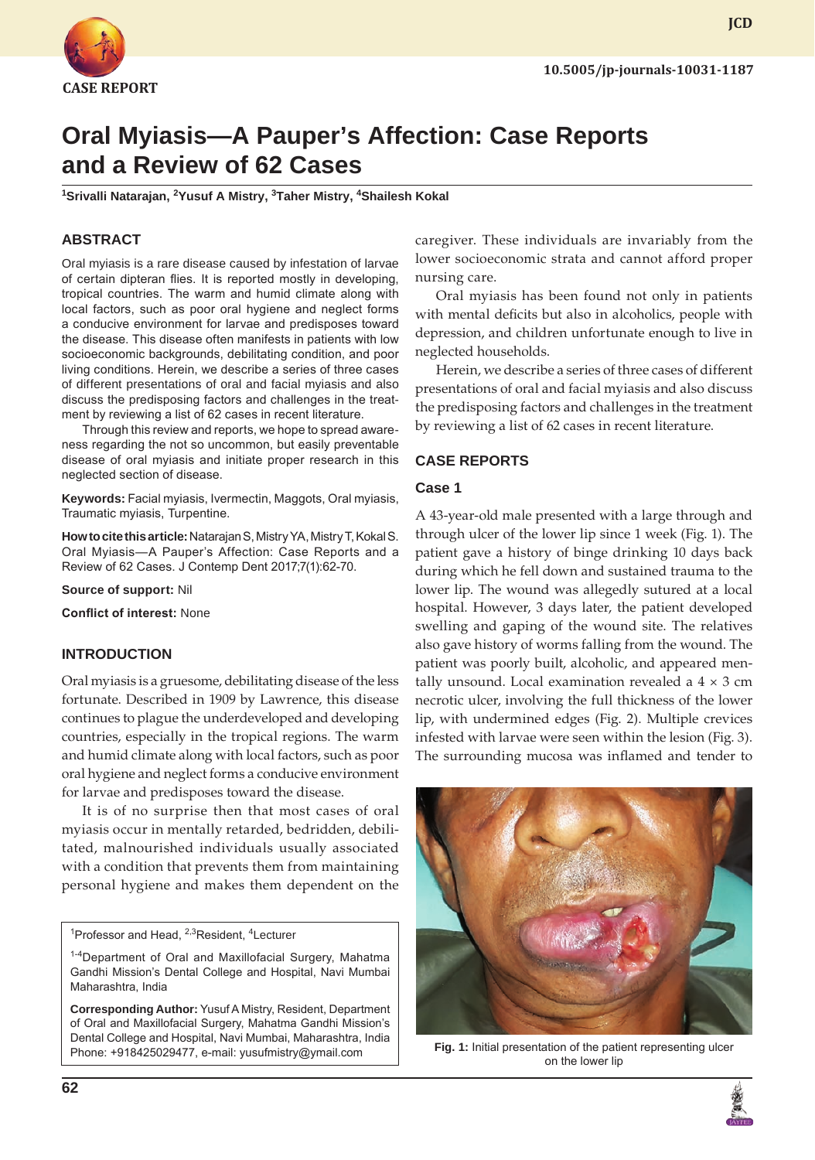

# **Oral Myiasis—A Pauper's Affection: Case Reports and a Review of 62 Cases**

<sup>1</sup>Srivalli Natarajan, <sup>2</sup>Yusuf A Mistry, <sup>3</sup>Taher Mistry, <sup>4</sup>Shailesh Kokal

## **ABSTRACT**

Oral myiasis is a rare disease caused by infestation of larvae of certain dipteran flies. It is reported mostly in developing, tropical countries. The warm and humid climate along with local factors, such as poor oral hygiene and neglect forms a conducive environment for larvae and predisposes toward the disease. This disease often manifests in patients with low socioeconomic backgrounds, debilitating condition, and poor living conditions. Herein, we describe a series of three cases of different presentations of oral and facial myiasis and also discuss the predisposing factors and challenges in the treatment by reviewing a list of 62 cases in recent literature.

Through this review and reports, we hope to spread awareness regarding the not so uncommon, but easily preventable disease of oral myiasis and initiate proper research in this neglected section of disease.

**Keywords:** Facial myiasis, Ivermectin, Maggots, Oral myiasis, Traumatic myiasis, Turpentine.

**How to cite this article:** Natarajan S, Mistry YA, Mistry T, Kokal S. Oral Myiasis—A Pauper's Affection: Case Reports and a Review of 62 Cases. J Contemp Dent 2017;7(1):62-70.

**Source of support:** Nil

**Conflict of interest:** None

## **INTRODUCTION**

Oral myiasis is a gruesome, debilitating disease of the less fortunate. Described in 1909 by Lawrence, this disease continues to plague the underdeveloped and developing countries, especially in the tropical regions. The warm and humid climate along with local factors, such as poor oral hygiene and neglect forms a conducive environment for larvae and predisposes toward the disease.

It is of no surprise then that most cases of oral myiasis occur in mentally retarded, bedridden, debilitated, malnourished individuals usually associated with a condition that prevents them from maintaining personal hygiene and makes them dependent on the

<sup>1</sup>Professor and Head, <sup>2,3</sup>Resident, <sup>4</sup>Lecturer

**Corresponding Author:** Yusuf A Mistry, Resident, Department of Oral and Maxillofacial Surgery, Mahatma Gandhi Mission's Dental College and Hospital, Navi Mumbai, Maharashtra, India Phone: +918425029477, e-mail: yusufmistry@ymail.com

caregiver. These individuals are invariably from the lower socioeconomic strata and cannot afford proper nursing care.

Oral myiasis has been found not only in patients with mental deficits but also in alcoholics, people with depression, and children unfortunate enough to live in neglected households.

Herein, we describe a series of three cases of different presentations of oral and facial myiasis and also discuss the predisposing factors and challenges in the treatment by reviewing a list of 62 cases in recent literature.

### **CASE REPORTS**

#### **Case 1**

A 43-year-old male presented with a large through and through ulcer of the lower lip since 1 week (Fig. 1). The patient gave a history of binge drinking 10 days back during which he fell down and sustained trauma to the lower lip. The wound was allegedly sutured at a local hospital. However, 3 days later, the patient developed swelling and gaping of the wound site. The relatives also gave history of worms falling from the wound. The patient was poorly built, alcoholic, and appeared mentally unsound. Local examination revealed a  $4 \times 3$  cm necrotic ulcer, involving the full thickness of the lower lip, with undermined edges (Fig. 2). Multiple crevices infested with larvae were seen within the lesion (Fig. 3). The surrounding mucosa was inflamed and tender to



**Fig. 1:** Initial presentation of the patient representing ulcer on the lower lip



<sup>&</sup>lt;sup>1-4</sup>Department of Oral and Maxillofacial Surgery, Mahatma Gandhi Mission's Dental College and Hospital, Navi Mumbai Maharashtra, India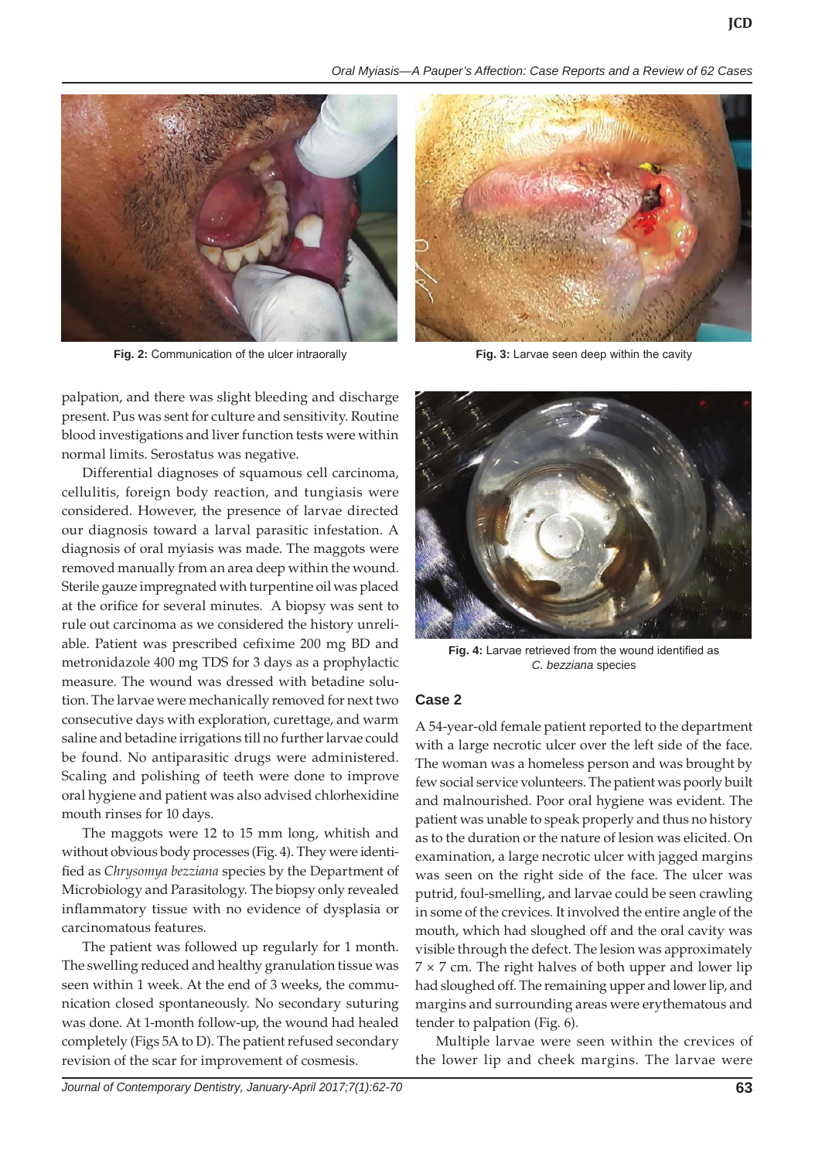*Oral Myiasis—A Pauper's Affection: Case Reports and a Review of 62 Cases*



**Fig. 2:** Communication of the ulcer intraorally **Fig. 3:** Larvae seen deep within the cavity

palpation, and there was slight bleeding and discharge present. Pus was sent for culture and sensitivity. Routine blood investigations and liver function tests were within normal limits. Serostatus was negative.

Differential diagnoses of squamous cell carcinoma, cellulitis, foreign body reaction, and tungiasis were considered. However, the presence of larvae directed our diagnosis toward a larval parasitic infestation. A diagnosis of oral myiasis was made. The maggots were removed manually from an area deep within the wound. Sterile gauze impregnated with turpentine oil was placed at the orifice for several minutes. A biopsy was sent to rule out carcinoma as we considered the history unreliable. Patient was prescribed cefixime 200 mg BD and metronidazole 400 mg TDS for 3 days as a prophylactic measure. The wound was dressed with betadine solution. The larvae were mechanically removed for next two consecutive days with exploration, curettage, and warm saline and betadine irrigations till no further larvae could be found. No antiparasitic drugs were administered. Scaling and polishing of teeth were done to improve oral hygiene and patient was also advised chlorhexidine mouth rinses for 10 days.

The maggots were 12 to 15 mm long, whitish and without obvious body processes (Fig. 4). They were identified as *Chrysomya bezziana* species by the Department of Microbiology and Parasitology. The biopsy only revealed inflammatory tissue with no evidence of dysplasia or carcinomatous features.

The patient was followed up regularly for 1 month. The swelling reduced and healthy granulation tissue was seen within 1 week. At the end of 3 weeks, the communication closed spontaneously. No secondary suturing was done. At 1-month follow-up, the wound had healed completely (Figs 5A to D). The patient refused secondary revision of the scar for improvement of cosmesis.





**Fig. 4:** Larvae retrieved from the wound identified as *C. bezziana* species

#### **Case 2**

A 54-year-old female patient reported to the department with a large necrotic ulcer over the left side of the face. The woman was a homeless person and was brought by few social service volunteers. The patient was poorly built and malnourished. Poor oral hygiene was evident. The patient was unable to speak properly and thus no history as to the duration or the nature of lesion was elicited. On examination, a large necrotic ulcer with jagged margins was seen on the right side of the face. The ulcer was putrid, foul-smelling, and larvae could be seen crawling in some of the crevices. It involved the entire angle of the mouth, which had sloughed off and the oral cavity was visible through the defect. The lesion was approximately  $7 \times 7$  cm. The right halves of both upper and lower lip had sloughed off. The remaining upper and lower lip, and margins and surrounding areas were erythematous and tender to palpation (Fig. 6).

Multiple larvae were seen within the crevices of the lower lip and cheek margins. The larvae were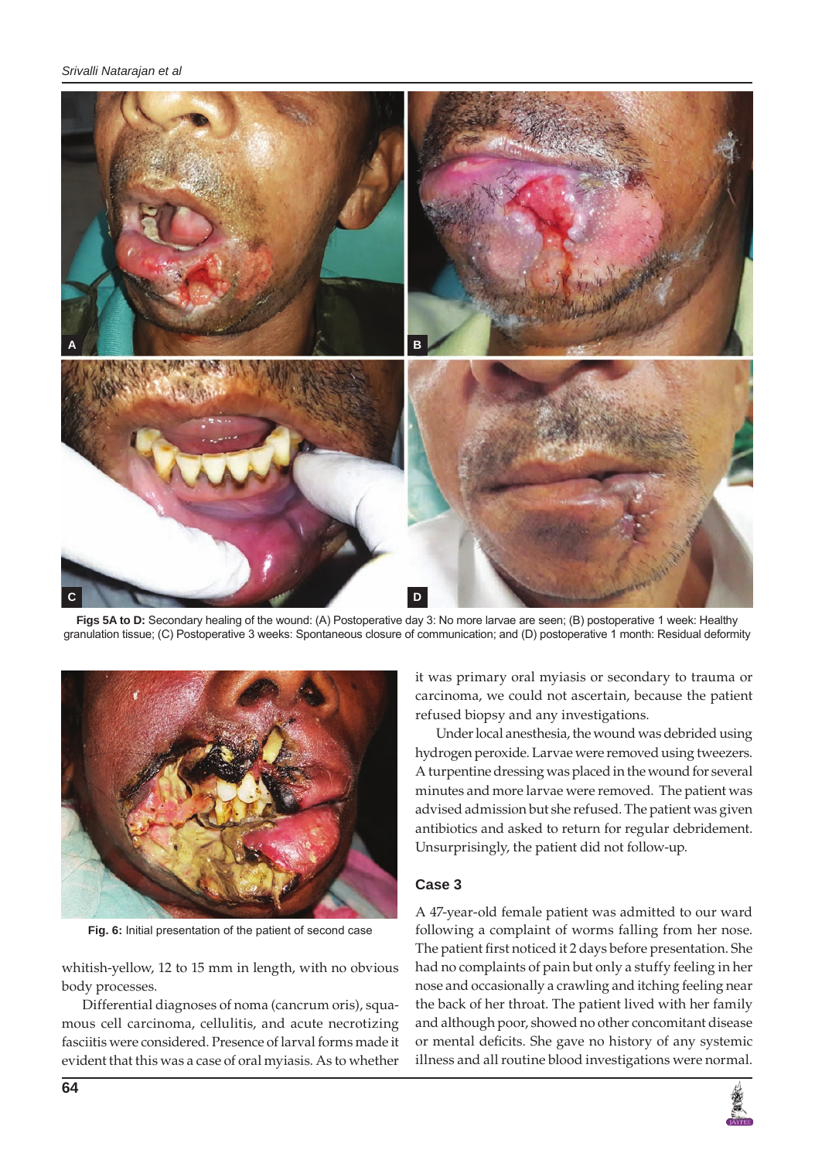

Figs 5A to D: Secondary healing of the wound: (A) Postoperative day 3: No more larvae are seen; (B) postoperative 1 week: Healthy granulation tissue; (C) Postoperative 3 weeks: Spontaneous closure of communication; and (D) postoperative 1 month: Residual deformity



**Fig. 6:** Initial presentation of the patient of second case

whitish-yellow, 12 to 15 mm in length, with no obvious body processes.

Differential diagnoses of noma (cancrum oris), squamous cell carcinoma, cellulitis, and acute necrotizing fasciitis were considered. Presence of larval forms made it evident that this was a case of oral myiasis. As to whether

it was primary oral myiasis or secondary to trauma or carcinoma, we could not ascertain, because the patient refused biopsy and any investigations.

Under local anesthesia, the wound was debrided using hydrogen peroxide. Larvae were removed using tweezers. A turpentine dressing was placed in the wound for several minutes and more larvae were removed. The patient was advised admission but she refused. The patient was given antibiotics and asked to return for regular debridement. Unsurprisingly, the patient did not follow-up.

# **Case 3**

A 47-year-old female patient was admitted to our ward following a complaint of worms falling from her nose. The patient first noticed it 2 days before presentation. She had no complaints of pain but only a stuffy feeling in her nose and occasionally a crawling and itching feeling near the back of her throat. The patient lived with her family and although poor, showed no other concomitant disease or mental deficits. She gave no history of any systemic illness and all routine blood investigations were normal.

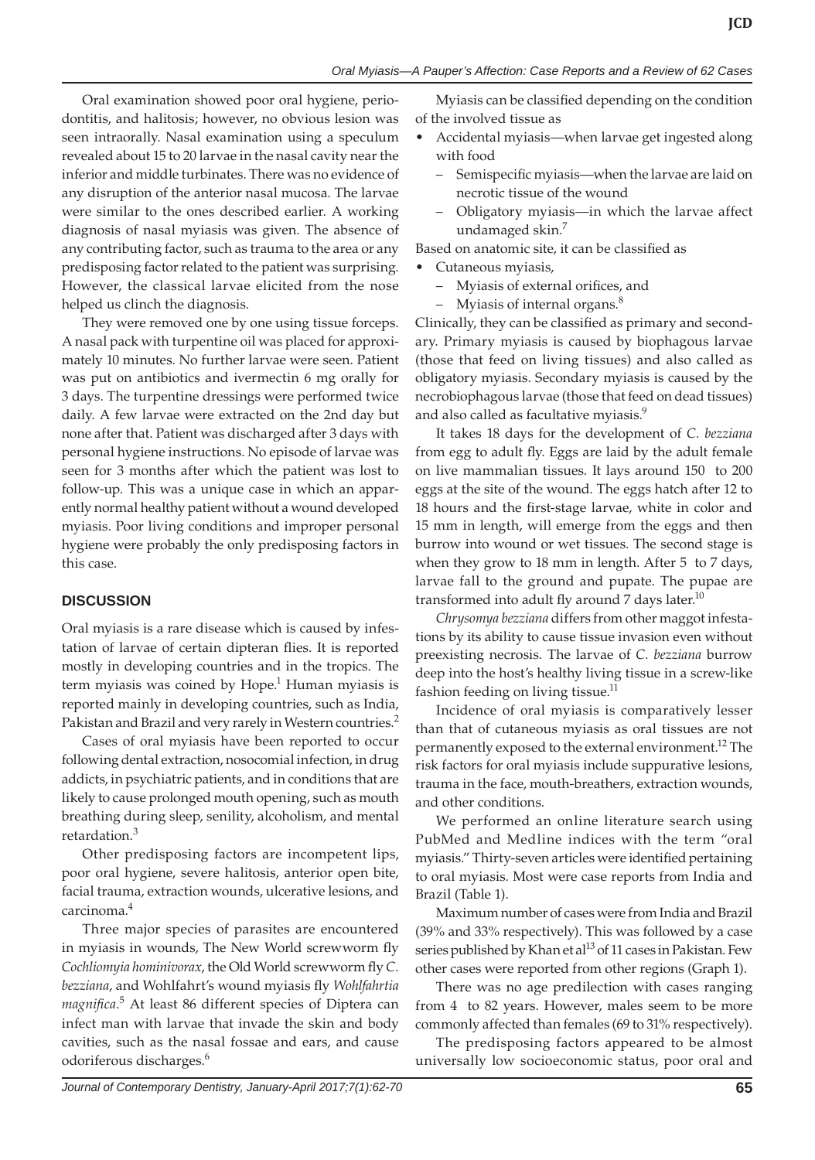Oral examination showed poor oral hygiene, periodontitis, and halitosis; however, no obvious lesion was seen intraorally. Nasal examination using a speculum revealed about 15 to 20 larvae in the nasal cavity near the inferior and middle turbinates. There was no evidence of any disruption of the anterior nasal mucosa. The larvae were similar to the ones described earlier. A working diagnosis of nasal myiasis was given. The absence of any contributing factor, such as trauma to the area or any predisposing factor related to the patient was surprising. However, the classical larvae elicited from the nose helped us clinch the diagnosis.

They were removed one by one using tissue forceps. A nasal pack with turpentine oil was placed for approximately 10 minutes. No further larvae were seen. Patient was put on antibiotics and ivermectin 6 mg orally for 3 days. The turpentine dressings were performed twice daily. A few larvae were extracted on the 2nd day but none after that. Patient was discharged after 3 days with personal hygiene instructions. No episode of larvae was seen for 3 months after which the patient was lost to follow-up. This was a unique case in which an apparently normal healthy patient without a wound developed myiasis. Poor living conditions and improper personal hygiene were probably the only predisposing factors in this case.

# **DISCUSSION**

Oral myiasis is a rare disease which is caused by infestation of larvae of certain dipteran flies. It is reported mostly in developing countries and in the tropics. The term myiasis was coined by Hope.<sup>1</sup> Human myiasis is reported mainly in developing countries, such as India, Pakistan and Brazil and very rarely in Western countries.<sup>2</sup>

Cases of oral myiasis have been reported to occur following dental extraction, nosocomial infection, in drug addicts, in psychiatric patients, and in conditions that are likely to cause prolonged mouth opening, such as mouth breathing during sleep, senility, alcoholism, and mental retardation.<sup>3</sup>

Other predisposing factors are incompetent lips, poor oral hygiene, severe halitosis, anterior open bite, facial trauma, extraction wounds, ulcerative lesions, and carcinoma.<sup>4</sup>

Three major species of parasites are encountered in myiasis in wounds, The New World screwworm fly *Cochliomyia hominivorax*, the Old World screwworm fly *C. bezziana*, and Wohlfahrt's wound myiasis fly *Wohlfahrtia magnifica*. 5 At least 86 different species of Diptera can infect man with larvae that invade the skin and body cavities, such as the nasal fossae and ears, and cause odoriferous discharges.<sup>6</sup>

Myiasis can be classified depending on the condition of the involved tissue as

- Accidental myiasis—when larvae get ingested along with food
	- – Semispecific myiasis—when the larvae are laid on necrotic tissue of the wound
	- Obligatory myiasis—in which the larvae affect undamaged skin.<sup>7</sup>

Based on anatomic site, it can be classified as

- Cutaneous myiasis,
	- Myiasis of external orifices, and
	- Myiasis of internal organs. $8<sup>8</sup>$

Clinically, they can be classified as primary and secondary. Primary myiasis is caused by biophagous larvae (those that feed on living tissues) and also called as obligatory myiasis. Secondary myiasis is caused by the necrobiophagous larvae (those that feed on dead tissues) and also called as facultative myiasis.<sup>9</sup>

It takes 18 days for the development of *C. bezziana* from egg to adult fly. Eggs are laid by the adult female on live mammalian tissues. It lays around 150 to 200 eggs at the site of the wound. The eggs hatch after 12 to 18 hours and the first-stage larvae, white in color and 15 mm in length, will emerge from the eggs and then burrow into wound or wet tissues. The second stage is when they grow to 18 mm in length. After 5 to 7 days, larvae fall to the ground and pupate. The pupae are transformed into adult fly around  $7$  days later.<sup>10</sup>

*Chrysomya bezziana* differs from other maggot infestations by its ability to cause tissue invasion even without preexisting necrosis. The larvae of *C. bezziana* burrow deep into the host's healthy living tissue in a screw-like fashion feeding on living tissue.<sup>11</sup>

Incidence of oral myiasis is comparatively lesser than that of cutaneous myiasis as oral tissues are not permanently exposed to the external environment.<sup>12</sup> The risk factors for oral myiasis include suppurative lesions, trauma in the face, mouth-breathers, extraction wounds, and other conditions.

We performed an online literature search using PubMed and Medline indices with the term "oral myiasis." Thirty-seven articles were identified pertaining to oral myiasis. Most were case reports from India and Brazil (Table 1).

Maximum number of cases were from India and Brazil (39% and 33% respectively). This was followed by a case series published by Khan et al<sup>13</sup> of 11 cases in Pakistan. Few other cases were reported from other regions (Graph 1).

There was no age predilection with cases ranging from 4 to 82 years. However, males seem to be more commonly affected than females (69 to 31% respectively).

The predisposing factors appeared to be almost universally low socioeconomic status, poor oral and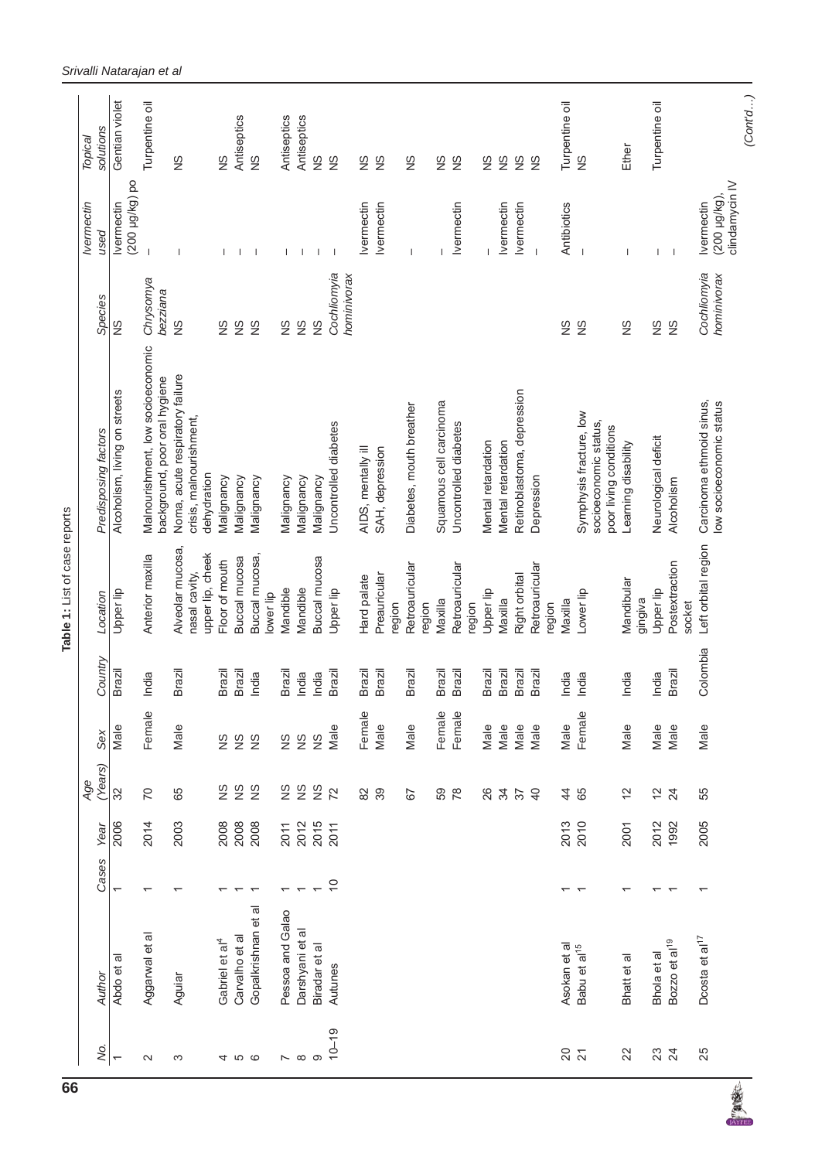| 66 |                          |                            |                          |      |                          |                    |          | Table 1: List of case reports     |                                                                            |                            |                                        |                |
|----|--------------------------|----------------------------|--------------------------|------|--------------------------|--------------------|----------|-----------------------------------|----------------------------------------------------------------------------|----------------------------|----------------------------------------|----------------|
|    |                          |                            |                          |      | Age                      |                    |          |                                   |                                                                            |                            | Ivermectin                             | Topical        |
|    | Ś.                       | Author                     | Cases                    | Year | Years)                   | Sex                | Country  | Location                          | Predisposing factors                                                       | Species                    | pesn                                   | solutions      |
|    | $\overline{\phantom{0}}$ | Abdo et al                 | $\overline{\phantom{0}}$ | 2006 | 32                       | Male               | Brazil   | Upper lip                         | Alcoholism, living on streets                                              | $\frac{8}{2}$              | po (200 µg/kg) po<br><b>Ivermectin</b> | Gentian violet |
|    | $\sim$                   | Aggarwal et al             |                          | 2014 | $\overline{C}$           | Female             | India    | Anterior maxilla                  | Malnourishment, low socioeconomic<br>background, poor oral hygiene         | Chrysomya<br>bezziana      |                                        | Turpentine oil |
|    | S                        | Aguiar                     |                          | 2003 | 65                       | Male               | Brazil   | Alveolar mucosa,<br>nasal cavity, | Noma, acute respiratory failure<br>crisis, malnourishment,                 | $\frac{8}{2}$              |                                        | $\frac{8}{2}$  |
|    |                          |                            |                          |      |                          |                    |          | upper lip, cheek                  | dehydration                                                                |                            |                                        |                |
|    | 4                        | Gabriel et al <sup>4</sup> |                          | 2008 | $\frac{8}{2}$            | $\frac{8}{2}$      | Brazil   | Floor of mouth                    | Malignancy                                                                 | $\frac{8}{2}$              |                                        | $\frac{8}{2}$  |
|    | <b>i</b> ထ               | Carvalho et al             |                          |      | $\frac{8}{2}$            | $\frac{\infty}{2}$ | Brazil   | Buccal mucosa                     | Malignancy                                                                 | $\frac{8}{2}$              |                                        | Antiseptics    |
|    |                          | Gopalkrishnan et al        |                          | 2008 | $\frac{8}{2}$            | $\frac{8}{2}$      | India    | Buccal mucosa,<br>lower lip       | Malignancy                                                                 | $\frac{8}{2}$              |                                        | $\frac{8}{2}$  |
|    |                          | Pessoa and Galao           |                          | 2011 |                          | $\frac{8}{2}$      | Brazil   | Mandible                          | Malignancy                                                                 | $\frac{8}{2}$              |                                        | Antiseptics    |
|    | $\sim$ $\infty$ $\infty$ | Darshyani et al            |                          | 2012 | S &                      | $\frac{8}{2}$      | India    | Mandible                          | Malignancy                                                                 | $\frac{8}{2}$              |                                        | Antiseptics    |
|    |                          | Biradar et al              |                          | 2015 | $\frac{8}{2}$            | $\frac{8}{2}$      | India    | Buccal mucosa                     | Malignancy                                                                 | $\frac{8}{2}$              |                                        | $\frac{8}{2}$  |
|    | $10 - 19$                | Autunes                    | $\overline{C}$           | 2011 | 72                       | Male               | Brazil   | Upper lip                         | Uncontrolled diabetes                                                      | Cochliomyia<br>hominivorax |                                        | $\frac{8}{2}$  |
|    |                          |                            |                          |      | $82$                     | Female             | Brazil   | Hard palate                       | AIDS, mentally ill                                                         |                            | <b>Ivermectin</b>                      | $\frac{8}{2}$  |
|    |                          |                            |                          |      | 39                       | Male               | Brazil   | Preauricular<br>region            | SAH, depression                                                            |                            | <b>Ivermectin</b>                      | $\frac{8}{2}$  |
|    |                          |                            |                          |      | 67                       | Male               | Brazil   | Retroauricular<br>region          | Diabetes, mouth breather                                                   |                            |                                        | $\frac{8}{2}$  |
|    |                          |                            |                          |      | 59                       | Female             | Brazil   | Maxilla                           | Squamous cell carcinoma                                                    |                            |                                        | $\frac{8}{2}$  |
|    |                          |                            |                          |      | 78                       | Female             | Brazil   | Retroauricular                    | Uncontrolled diabetes                                                      |                            | Ivermectin                             | $\frac{8}{2}$  |
|    |                          |                            |                          |      |                          |                    |          | region                            |                                                                            |                            |                                        |                |
|    |                          |                            |                          |      | 26                       | Male               | Brazil   | Upper lip                         | Mental retardation                                                         |                            |                                        | $\frac{8}{2}$  |
|    |                          |                            |                          |      | $\mathfrak{F}$           | Male               | Brazil   | Maxilla                           | Mental retardation                                                         |                            | <b>Ivermectin</b>                      | $\frac{8}{2}$  |
|    |                          |                            |                          |      | $\overline{\varepsilon}$ | Male               | Brazil   | Right orbital                     | Retinoblastoma, depression                                                 |                            | <b>Ivermectin</b>                      | $\frac{8}{2}$  |
|    |                          |                            |                          |      | $\overline{4}$           | Male               | Brazil   | Retroauricular                    | Depression                                                                 |                            |                                        | $\frac{8}{2}$  |
|    |                          | Asokan et al               |                          |      | $\frac{4}{4}$            | Male               | India    | Maxilla<br>region                 |                                                                            | S                          | Antibiotics                            | Turpentine oil |
|    | $rac{1}{2}$              | Babu et al <sup>15</sup>   |                          | 2013 | 65                       | Female             | India    | Lower lip                         | Symphysis fracture, low<br>socioeconomic status,<br>poor living conditions | $\frac{8}{2}$              |                                        | $\frac{8}{2}$  |
|    | 22                       | Bhatt et al                |                          | 2001 | $\frac{2}{3}$            | Male               | India    | Mandibular<br>gingiva             | Learning disability                                                        | $\frac{8}{2}$              |                                        | Ether          |
|    | 23                       | Bhola et al                |                          | 2012 | $\frac{1}{2}$            | Male               | India    | Upper lip                         | Neurological deficit                                                       | $\frac{8}{2}$              |                                        | Turpentine oil |
|    |                          | Bozzo et al <sup>19</sup>  |                          | 1992 | 24                       | Male               | Brazil   | Postextraction<br>socket          | Alcoholism                                                                 | $\frac{8}{2}$              | $\overline{\phantom{a}}$               |                |
|    | 25                       | Doosta et al <sup>17</sup> | $\overline{\phantom{0}}$ | 2005 | 55                       | Male               | Colombia | Left orbital region               | Carcinoma ethmoid sinus,                                                   | Cochliomyia                | <b>Ivermectin</b>                      |                |
| 綞  |                          |                            |                          |      |                          |                    |          |                                   | low socioeconomic status                                                   | hominivorax                | clindamycin IV<br>(200 µg/kg)          |                |
|    |                          |                            |                          |      |                          |                    |          |                                   |                                                                            |                            |                                        | (Contd)        |

**REAL** 

Table 1: List of case reports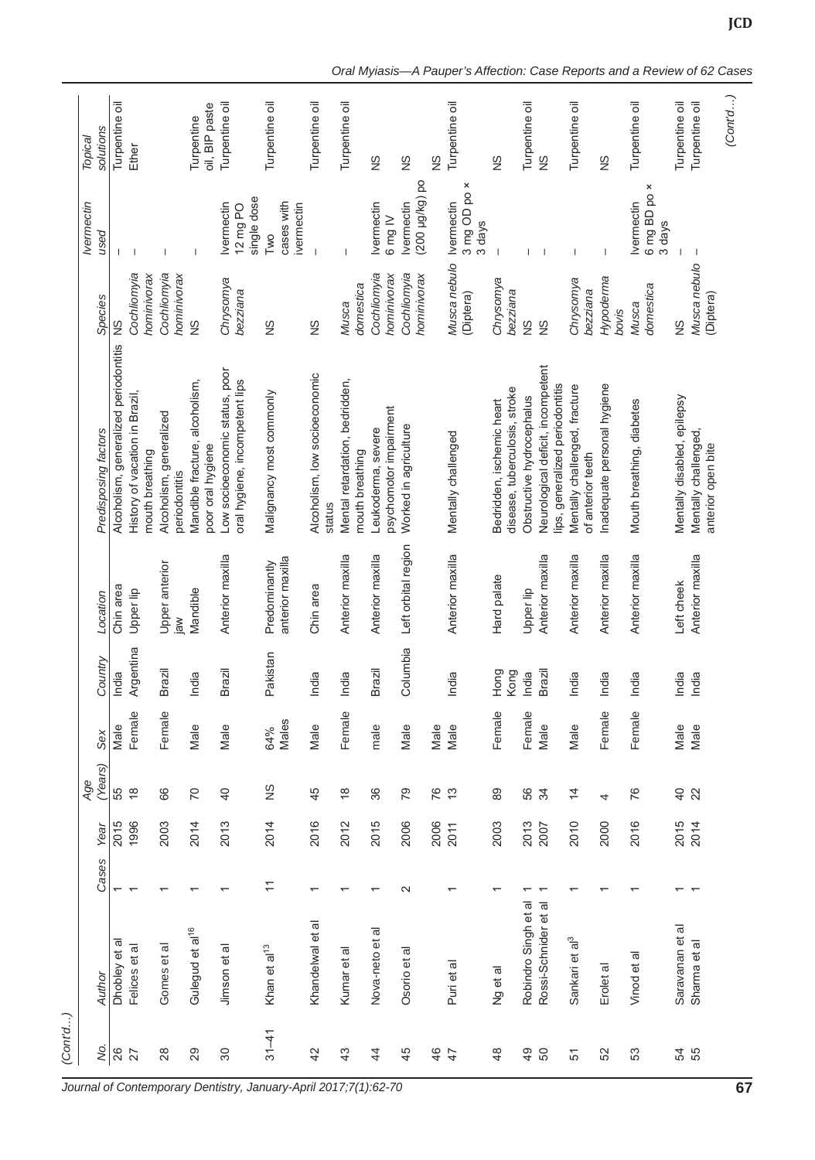| solutions<br>Topical      | Turpentine oil                        | Ether                                             |                                          | oil, BIP paste<br>Turpentine                        | Turpentine oil                                                   | Turpentine oil                    | Turpentine oil                          | Turpentine oil                                    | $\frac{8}{2}$                                 | $\frac{\omega}{2}$                     | $\frac{8}{2}$ | Turpentine oil                       | $\frac{8}{2}$                                              | Turpentine oil            | $\frac{8}{2}$                                                       | Turpentine oil                                     | $\frac{8}{2}$              | Turpentine oil                              | Turpentine oil                          | Turpentine oil                             |
|---------------------------|---------------------------------------|---------------------------------------------------|------------------------------------------|-----------------------------------------------------|------------------------------------------------------------------|-----------------------------------|-----------------------------------------|---------------------------------------------------|-----------------------------------------------|----------------------------------------|---------------|--------------------------------------|------------------------------------------------------------|---------------------------|---------------------------------------------------------------------|----------------------------------------------------|----------------------------|---------------------------------------------|-----------------------------------------|--------------------------------------------|
| <b>Ivermectin</b><br>pesn |                                       |                                                   |                                          | $\overline{1}$                                      | single dose<br><b>Ivermectin</b><br>12 mg PO                     | cases with<br>ivermectin<br>Two   |                                         |                                                   | <b>Ivermectin</b><br>$6 \text{ mg} \text{ W}$ | po (200 µg/kg) po<br><b>Ivermectin</b> |               | 3 mg OD po ×<br>Ivermectin<br>3 days |                                                            |                           |                                                                     | T                                                  | J.                         | 6 mg BD po ×<br><b>Ivermectin</b><br>3 days |                                         | -1                                         |
| Species                   | $\frac{8}{2}$                         | Cochliomyia<br>hominivorax                        | Cochliomyia<br>hominivorax               | $\frac{8}{2}$                                       | Chrysomya<br>bezziana                                            | $\frac{8}{2}$                     | $\frac{8}{2}$                           | domestica<br>Musca                                | Cochliomyia<br>hominivorax                    | Cochliomyia<br>hominivorax             |               | Musca nebulo<br>(Diptera)            | Chrysomya<br>bezziana                                      | $\frac{8}{2}$             | $\frac{8}{2}$                                                       | Chrysomya<br>bezziana                              | Hypoderma<br>bovis         | domestica<br>Musca                          | $\frac{8}{2}$                           | Musca nebulo<br>(Diptera)                  |
| Predisposing factors      | Alcoholism, generalized periodontitis | History of vacation in Brazil,<br>mouth breathing | Alcoholism, generalized<br>periodontitis | Mandible fracture, alcoholism,<br>poor oral hygiene | Low socioeconomic status, poor<br>oral hygiene, incompetent lips | Malignancy most commonly          | Alcoholism, low socioeconomic<br>status | Mental retardation, bedridden,<br>mouth breathing | psychomotor impairment<br>Leukoderma, severe  | Worked in agriculture                  |               | Mentally challenged                  | disease, tuberculosis, stroke<br>Bedridden, ischemic heart | Obstructive hydrocephalus | Neurological deficit, incompetent<br>ips, generalized periodontitis | Mentally challenged, fracture<br>of anterior teeth | nadequate personal hygiene | Mouth breathing, diabetes                   | Mentally disabled, epilepsy             | Mentally challenged,<br>anterior open bite |
| Location                  | Chin area                             | Upper lip                                         | Upper anterior<br>iaw                    | Mandible                                            | Anterior maxilla                                                 | anterior maxilla<br>Predominantly | Chin area                               | Anterior maxilla                                  | Anterior maxilla                              | Left orbital region                    |               | Anterior maxilla                     | Hard palate                                                | Upper lip                 | Anterior maxilla                                                    | Anterior maxilla                                   | Anterior maxilla           | Anterior maxilla                            | Left cheek                              | Anterior maxilla                           |
| Country                   | India                                 | Argentina                                         | Brazil                                   | ndia<br>≐                                           | Brazil                                                           | Pakistan                          | India                                   | India                                             | Brazil                                        | sidunbia<br>O                          |               | hdia<br>≐                            | long<br>Kong<br>I                                          | India                     | Brazil                                                              | India                                              | India                      | India                                       | India<br>India                          |                                            |
| Sex                       | Male                                  | Female                                            | Female                                   | Male                                                | Male                                                             | Males<br>64%                      | Male                                    | Female                                            | male                                          | Male                                   |               | Male<br>Male                         | Female                                                     | Female                    | Male                                                                | Male                                               | Female                     | Female                                      | Male                                    | Male                                       |
| (Years)<br>Age            | 55                                    | $\frac{8}{10}$                                    | 66                                       | $\overline{C}$                                      | $\overline{4}$                                                   | $\frac{8}{2}$                     | 45                                      | $\frac{8}{1}$                                     | 36                                            | 67                                     |               | 76                                   | 89                                                         | 56                        | $\frac{3}{4}$                                                       | $\overline{4}$                                     | 4                          | 76                                          | $\begin{array}{c} 48 \\ 20 \end{array}$ |                                            |
| Year                      | 2015                                  | 1996                                              | 2003                                     | 2014                                                | 2013                                                             | 2014                              | 2016                                    | 2012                                              | 2015                                          | 2006                                   | 2006          | 2011                                 | 2003                                                       | 2013                      | 2007                                                                | 2010                                               | 2000                       | 2016                                        | 2015                                    | 2014                                       |
| Cases                     | $\overline{\phantom{0}}$              |                                                   |                                          |                                                     |                                                                  | $\overline{1}$                    |                                         |                                                   |                                               | $\sim$                                 |               |                                      |                                                            |                           |                                                                     |                                                    |                            |                                             |                                         |                                            |
| Author                    | Dhobley et al                         | Felices et al                                     | Gomes et al                              | Gulegud et al <sup>16</sup>                         | Jimson et al                                                     | Khan et al <sup>13</sup>          | Khandelwal et al                        | Kumar et al                                       | Nova-neto et al                               | Osorio et al                           |               | Puri et al                           | Ng et al                                                   | Robindro Singh et al      | Rossi-Schnider et al                                                | Sankari et al <sup>3</sup>                         | Erolet al                  | Vinod et al                                 | Saravanan et al                         | Sharma et al                               |
| ş.                        | 26                                    | 27                                                | $^{28}$                                  | 29                                                  | 30                                                               | $31 - 41$                         | 42                                      | 43                                                | $\overline{4}$                                | 45                                     | 46            | $\overline{4}$                       | $\frac{8}{4}$                                              | $\frac{9}{4}$             | 50                                                                  | 51                                                 | 52                         | 53                                          | 54<br>55                                |                                            |

**JCD**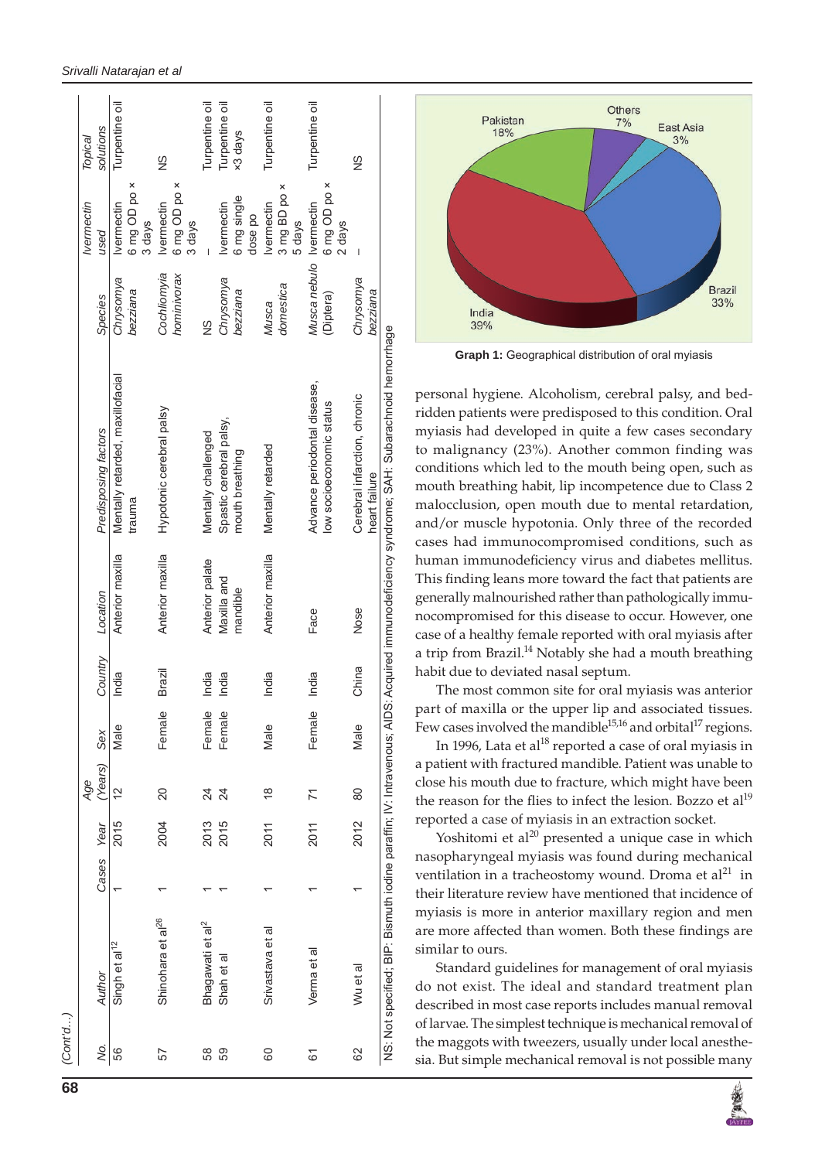|    |                               |            | Age           |        |         |                  |                                                                                                                                          |                         | <b>Ivermectin</b>      | Topical        |
|----|-------------------------------|------------|---------------|--------|---------|------------------|------------------------------------------------------------------------------------------------------------------------------------------|-------------------------|------------------------|----------------|
| ş. | Author                        | Cases Year | (Years)       | Sex    | Country | Location         | Predisposing factors                                                                                                                     | <b>Species</b>          | used                   | solutions      |
| 56 | Singh et al <sup>12</sup>     | 2015       | $\frac{2}{3}$ | Male   | India   | Anterior maxilla | Mentally retarded, maxillofacial                                                                                                         | Chrysomya               | <b>Ivermectin</b>      | Turpentine oil |
|    |                               |            |               |        |         |                  | trauma                                                                                                                                   | bezziana                | 6 mg OD po ×<br>3 days |                |
| 57 | Shinohara et al <sup>26</sup> | 2004       | 20            | Female | Brazil  | Anterior maxilla | Hypotonic cerebral palsy                                                                                                                 | Cochliomvia             | <b>Ivermectin</b>      | $\frac{8}{2}$  |
|    |                               |            |               |        |         |                  |                                                                                                                                          | hominivorax             | 6 mg OD po ×           |                |
|    |                               |            |               |        |         |                  |                                                                                                                                          |                         | 3 days                 |                |
| 58 | Bhagawati et al <sup>2</sup>  | 2013       | 24            | Female | India   | Anterior palate  | Mentally challenged                                                                                                                      | SS                      |                        | Turpentine oil |
| 59 | Shah et al                    | 2015       | 24            | Female | India   | Maxilla and      | Spastic cerebral palsy,                                                                                                                  | Chrysomya               | <b>Ivermectin</b>      | Turpentine oil |
|    |                               |            |               |        |         | mandible         | mouth breathing                                                                                                                          | bezziana                | 6 mg single            | ×3 days        |
|    |                               |            |               |        |         |                  |                                                                                                                                          |                         | dose po                |                |
| 80 | Srivastava et al              | 2011       | $\frac{8}{1}$ | Male   | India   | Anterior maxilla | Mentally retarded                                                                                                                        | Musca                   | <b>Ivermectin</b>      | Turpentine oil |
|    |                               |            |               |        |         |                  |                                                                                                                                          | domestica               | 3 mg BD po x           |                |
|    |                               |            |               |        |         |                  |                                                                                                                                          |                         | 5 days                 |                |
| 61 | Verma et al                   | 2011       | 71            | Female | India   | Face             | Advance periodontal disease,                                                                                                             | Musca nebulo Ivermectin |                        | Turpentine oil |
|    |                               |            |               |        |         |                  | low socioeconomic status                                                                                                                 | (Diptera)               | 6 mg OD po ×           |                |
|    |                               |            |               |        |         |                  |                                                                                                                                          |                         | 2 days                 |                |
| 82 | Wu et al                      | 2012       | 80            | Male   | China   | Nose             | Cerebral infarction, chronic                                                                                                             | Chrysomya               | I                      | $\frac{8}{5}$  |
|    |                               |            |               |        |         |                  | heart failure                                                                                                                            | bezziana                |                        |                |
|    |                               |            |               |        |         |                  | NS: Not specified; BIP: Bismuth iodine paraffin; IV: Intravenous; AIDS: Acquired immunodeficiency syndrome; SAH: Subarachnoid hemorrhage |                         |                        |                |



**Graph 1:** Geographical distribution of oral myiasis

personal hygiene. Alcoholism, cerebral palsy, and bedridden patients were predisposed to this condition. Oral myiasis had developed in quite a few cases secondary to malignancy (23%). Another common finding was conditions which led to the mouth being open, such as mouth breathing habit, lip incompetence due to Class 2 malocclusion, open mouth due to mental retardation, and/or muscle hypotonia. Only three of the recorded cases had immunocompromised conditions, such as human immunodeficiency virus and diabetes mellitus. This finding leans more toward the fact that patients are generally malnourished rather than pathologically immunocompromised for this disease to occur. However, one case of a healthy female reported with oral myiasis after a trip from Brazil.<sup>14</sup> Notably she had a mouth breathing habit due to deviated nasal septum.

The most common site for oral myiasis was anterior part of maxilla or the upper lip and associated tissues. Few cases involved the mandible<sup>15,16</sup> and orbital<sup>17</sup> regions.

In 1996, Lata et al<sup>18</sup> reported a case of oral myiasis in a patient with fractured mandible. Patient was unable to close his mouth due to fracture, which might have been the reason for the flies to infect the lesion. Bozzo et  $al<sup>19</sup>$ reported a case of myiasis in an extraction socket.

Yoshitomi et al $^{20}$  presented a unique case in which nasopharyngeal myiasis was found during mechanical ventilation in a tracheostomy wound. Droma et  $al^{21}$  in their literature review have mentioned that incidence of myiasis is more in anterior maxillary region and men are more affected than women. Both these findings are similar to ours.

Standard guidelines for management of oral myiasis do not exist. The ideal and standard treatment plan described in most case reports includes manual removal of larvae. The simplest technique is mechanical removal of the maggots with tweezers, usually under local anesthe sia. But simple mechanical removal is not possible many

*(Cont'd…)*

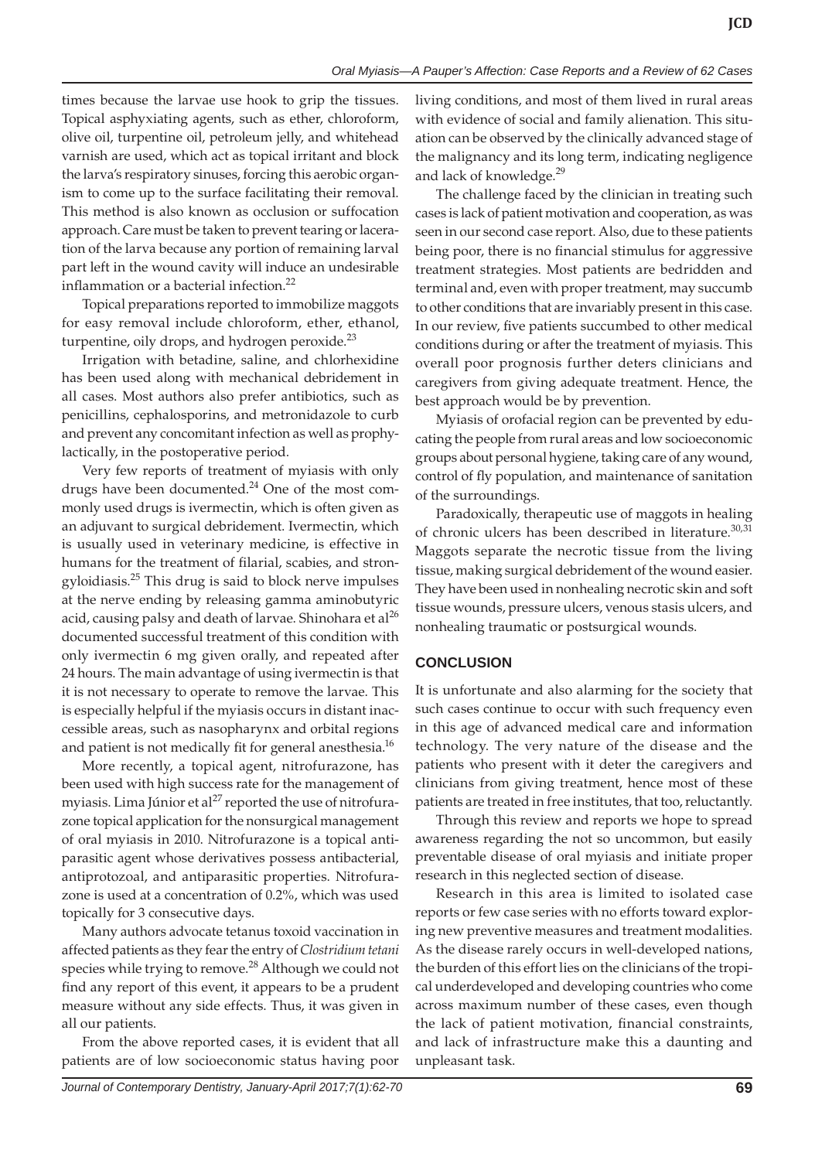times because the larvae use hook to grip the tissues. Topical asphyxiating agents, such as ether, chloroform, olive oil, turpentine oil, petroleum jelly, and whitehead varnish are used, which act as topical irritant and block the larva's respiratory sinuses, forcing this aerobic organism to come up to the surface facilitating their removal. This method is also known as occlusion or suffocation approach. Care must be taken to prevent tearing or laceration of the larva because any portion of remaining larval part left in the wound cavity will induce an undesirable inflammation or a bacterial infection.<sup>22</sup>

Topical preparations reported to immobilize maggots for easy removal include chloroform, ether, ethanol, turpentine, oily drops, and hydrogen peroxide. $^{23}$ 

Irrigation with betadine, saline, and chlorhexidine has been used along with mechanical debridement in all cases. Most authors also prefer antibiotics, such as penicillins, cephalosporins, and metronidazole to curb and prevent any concomitant infection as well as prophylactically, in the postoperative period.

Very few reports of treatment of myiasis with only drugs have been documented. $^{24}$  One of the most commonly used drugs is ivermectin, which is often given as an adjuvant to surgical debridement. Ivermectin, which is usually used in veterinary medicine, is effective in humans for the treatment of filarial, scabies, and strongyloidiasis.25 This drug is said to block nerve impulses at the nerve ending by releasing gamma aminobutyric acid, causing palsy and death of larvae. Shinohara et al<sup>26</sup> documented successful treatment of this condition with only ivermectin 6 mg given orally, and repeated after 24 hours. The main advantage of using ivermectin is that it is not necessary to operate to remove the larvae. This is especially helpful if the myiasis occurs in distant inaccessible areas, such as nasopharynx and orbital regions and patient is not medically fit for general anesthesia.<sup>16</sup>

More recently, a topical agent, nitrofurazone, has been used with high success rate for the management of myiasis. Lima Júnior et al<sup>27</sup> reported the use of nitrofurazone topical application for the nonsurgical management of oral myiasis in 2010. Nitrofurazone is a topical antiparasitic agent whose derivatives possess antibacterial, antiprotozoal, and antiparasitic properties. Nitrofurazone is used at a concentration of 0.2%, which was used topically for 3 consecutive days.

Many authors advocate tetanus toxoid vaccination in affected patients as they fear the entry of *Clostridium tetani* species while trying to remove.<sup>28</sup> Although we could not find any report of this event, it appears to be a prudent measure without any side effects. Thus, it was given in all our patients.

From the above reported cases, it is evident that all patients are of low socioeconomic status having poor living conditions, and most of them lived in rural areas with evidence of social and family alienation. This situation can be observed by the clinically advanced stage of the malignancy and its long term, indicating negligence and lack of knowledge.<sup>29</sup>

The challenge faced by the clinician in treating such cases is lack of patient motivation and cooperation, as was seen in our second case report. Also, due to these patients being poor, there is no financial stimulus for aggressive treatment strategies. Most patients are bedridden and terminal and, even with proper treatment, may succumb to other conditions that are invariably present in this case. In our review, five patients succumbed to other medical conditions during or after the treatment of myiasis. This overall poor prognosis further deters clinicians and caregivers from giving adequate treatment. Hence, the best approach would be by prevention.

Myiasis of orofacial region can be prevented by educating the people from rural areas and low socioeconomic groups about personal hygiene, taking care of any wound, control of fly population, and maintenance of sanitation of the surroundings.

Paradoxically, therapeutic use of maggots in healing of chronic ulcers has been described in literature.<sup>30,31</sup> Maggots separate the necrotic tissue from the living tissue, making surgical debridement of the wound easier. They have been used in nonhealing necrotic skin and soft tissue wounds, pressure ulcers, venous stasis ulcers, and nonhealing traumatic or postsurgical wounds.

# **CONCLUSION**

It is unfortunate and also alarming for the society that such cases continue to occur with such frequency even in this age of advanced medical care and information technology. The very nature of the disease and the patients who present with it deter the caregivers and clinicians from giving treatment, hence most of these patients are treated in free institutes, that too, reluctantly.

Through this review and reports we hope to spread awareness regarding the not so uncommon, but easily preventable disease of oral myiasis and initiate proper research in this neglected section of disease.

Research in this area is limited to isolated case reports or few case series with no efforts toward exploring new preventive measures and treatment modalities. As the disease rarely occurs in well-developed nations, the burden of this effort lies on the clinicians of the tropical underdeveloped and developing countries who come across maximum number of these cases, even though the lack of patient motivation, financial constraints, and lack of infrastructure make this a daunting and unpleasant task.